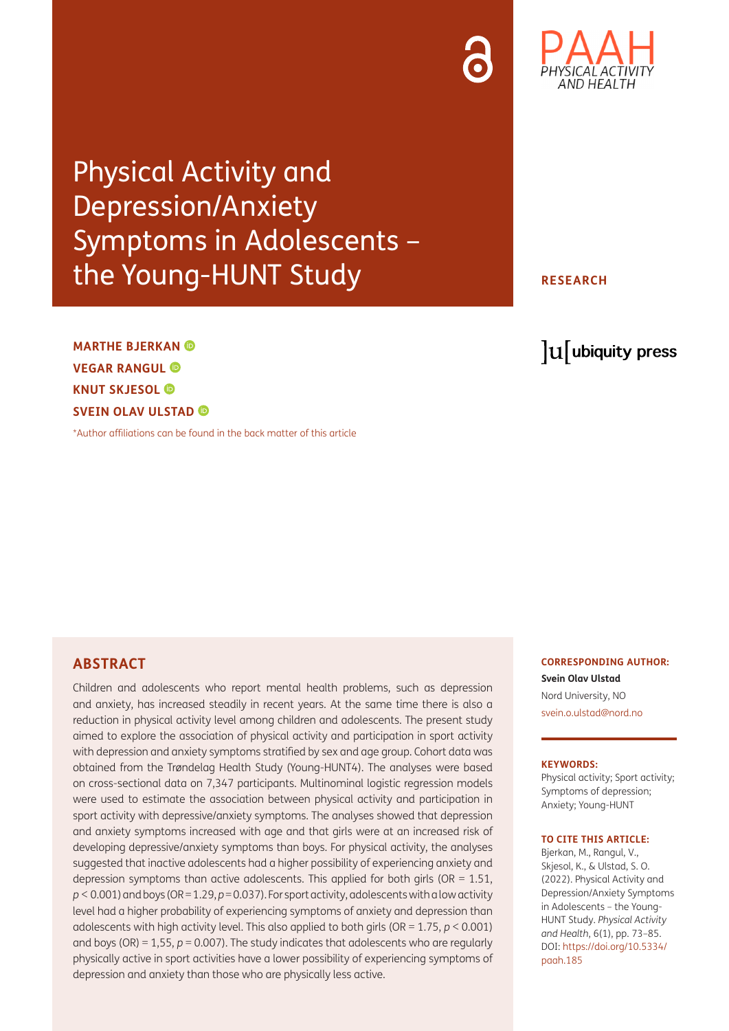Physical Activity and Depression/Anxiety Symptoms in Adolescents – the Young-HUNT Study

**MARTHE BJERKAN VEGAR RANGUL KNUT SKJESOL SVEIN OLAV ULSTAD** 

[\\*Author affiliations can be found in the back matter of this article](#page-9-0)

**CORRESPONDING AUTHOR: Svein Olav Ulstad** Nord University, NO [svein.o.ulstad@nord.no](mailto:svein.o.ulstad@nord.no)

#### **KEYWORDS:**

Physical activity; Sport activity; Symptoms of depression; Anxiety; Young-HUNT

#### **TO CITE THIS ARTICLE:**

Bjerkan, M., Rangul, V., Skjesol, K., & Ulstad, S. O. (2022). Physical Activity and Depression/Anxiety Symptoms in Adolescents – the Young-HUNT Study. *Physical Activity and Health*, 6(1), pp. 73–85. DOI: [https://doi.org/10.5334/](https://doi.org/10.5334/paah.185) [paah.185](https://doi.org/10.5334/paah.185)

## **ABSTRACT**

Children and adolescents who report mental health problems, such as depression and anxiety, has increased steadily in recent years. At the same time there is also a reduction in physical activity level among children and adolescents. The present study aimed to explore the association of physical activity and participation in sport activity with depression and anxiety symptoms stratified by sex and age group. Cohort data was obtained from the Trøndelag Health Study (Young-HUNT4). The analyses were based on cross-sectional data on 7,347 participants. Multinominal logistic regression models were used to estimate the association between physical activity and participation in sport activity with depressive/anxiety symptoms. The analyses showed that depression and anxiety symptoms increased with age and that girls were at an increased risk of developing depressive/anxiety symptoms than boys. For physical activity, the analyses suggested that inactive adolescents had a higher possibility of experiencing anxiety and depression symptoms than active adolescents. This applied for both girls ( $OR = 1.51$ , *p* < 0.001) and boys (OR = 1.29, *p* = 0.037). For sport activity, adolescents with a low activity level had a higher probability of experiencing symptoms of anxiety and depression than adolescents with high activity level. This also applied to both girls (OR = 1.75, *p* < 0.001) and boys (OR) = 1,55, *p* = 0.007). The study indicates that adolescents who are regularly physically active in sport activities have a lower possibility of experiencing symptoms of depression and anxiety than those who are physically less active.

# **RESEARCH**

lu ubiquity press

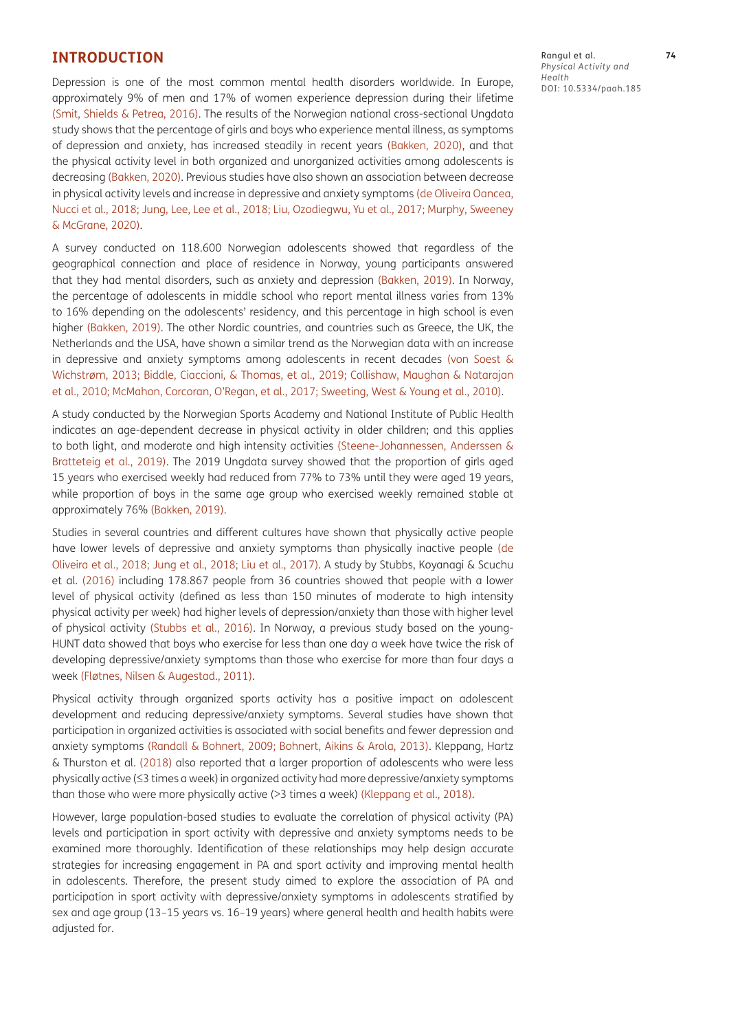#### **INTRODUCTION**

Depression is one of the most common mental health disorders worldwide. In Europe, approximately 9% of men and 17% of women experience depression during their lifetime [\(Smit, Shields & Petrea, 2016](#page-12-0)). The results of the Norwegian national cross-sectional Ungdata study shows that the percentage of girls and boys who experience mental illness, as symptoms of depression and anxiety, has increased steadily in recent years [\(Bakken, 2020\)](#page-10-0), and that the physical activity level in both organized and unorganized activities among adolescents is decreasing [\(Bakken, 2020\)](#page-10-1). Previous studies have also shown an association between decrease in physical activity levels and increase in depressive and anxiety symptoms [\(de Oliveira Oancea,](#page-10-2)  [Nucci et al., 2018;](#page-10-2) [Jung, Lee, Lee et al., 2018;](#page-11-0) [Liu, Ozodiegwu, Yu et al., 2017](#page-11-1); [Murphy, Sweeney](#page-11-2)  [& McGrane, 2020](#page-11-2)).

A survey conducted on 118.600 Norwegian adolescents showed that regardless of the geographical connection and place of residence in Norway, young participants answered that they had mental disorders, such as anxiety and depression ([Bakken, 2019](#page-10-0)). In Norway, the percentage of adolescents in middle school who report mental illness varies from 13% to 16% depending on the adolescents' residency, and this percentage in high school is even higher ([Bakken, 2019](#page-10-0)). The other Nordic countries, and countries such as Greece, the UK, the Netherlands and the USA, have shown a similar trend as the Norwegian data with an increase in depressive and anxiety symptoms among adolescents in recent decades (von Soest & Wichstrøm, 2013; [Biddle, Ciaccioni, & Thomas, et al., 2019](#page-10-3); [Collishaw, Maughan & Natarajan](#page-10-2)  [et al., 2010](#page-10-2); McMahon, Corcoran, O'Regan, et al., 2017; Sweeting, West & Young et al., 2010).

A study conducted by the Norwegian Sports Academy and National Institute of Public Health indicates an age-dependent decrease in physical activity in older children; and this applies to both light, and moderate and high intensity activities ([Steene-Johannessen, Anderssen &](#page-12-1)  [Bratteteig et al., 2019\)](#page-12-1). The 2019 Ungdata survey showed that the proportion of girls aged 15 years who exercised weekly had reduced from 77% to 73% until they were aged 19 years, while proportion of boys in the same age group who exercised weekly remained stable at approximately 76% [\(Bakken, 2019\)](#page-10-0).

Studies in several countries and different cultures have shown that physically active people have lower levels of depressive and anxiety symptoms than physically inactive people [\(de](#page-10-2) [Oliveira et](#page-10-2) al., 2018; [Jung et al., 2018](#page-11-0); [Liu et al., 2017](#page-11-1)). A study by Stubbs, Koyanagi & Scuchu et al. [\(2016\)](#page-12-2) including 178.867 people from 36 countries showed that people with a lower level of physical activity (defined as less than 150 minutes of moderate to high intensity physical activity per week) had higher levels of depression/anxiety than those with higher level of physical activity ([Stubbs et al., 2016\)](#page-12-2). In Norway, a previous study based on the young-HUNT data showed that boys who exercise for less than one day a week have twice the risk of developing depressive/anxiety symptoms than those who exercise for more than four days a week (Fløtnes, Nilsen & Augestad., 2011).

Physical activity through organized sports activity has a positive impact on adolescent development and reducing depressive/anxiety symptoms. Several studies have shown that participation in organized activities is associated with social benefits and fewer depression and anxiety symptoms ([Randall & Bohnert, 2009](#page-11-3); [Bohnert, Aikins & Arola, 2013](#page-10-4)). Kleppang, Hartz & Thurston et al. [\(2018\)](#page-11-4) also reported that a larger proportion of adolescents who were less physically active (≤3 times a week) in organized activity had more depressive/anxiety symptoms than those who were more physically active (>3 times a week) ([Kleppang et al., 2018\)](#page-11-4).

However, large population-based studies to evaluate the correlation of physical activity (PA) levels and participation in sport activity with depressive and anxiety symptoms needs to be examined more thoroughly. Identification of these relationships may help design accurate strategies for increasing engagement in PA and sport activity and improving mental health in adolescents. Therefore, the present study aimed to explore the association of PA and participation in sport activity with depressive/anxiety symptoms in adolescents stratified by sex and age group (13–15 years vs. 16–19 years) where general health and health habits were adjusted for.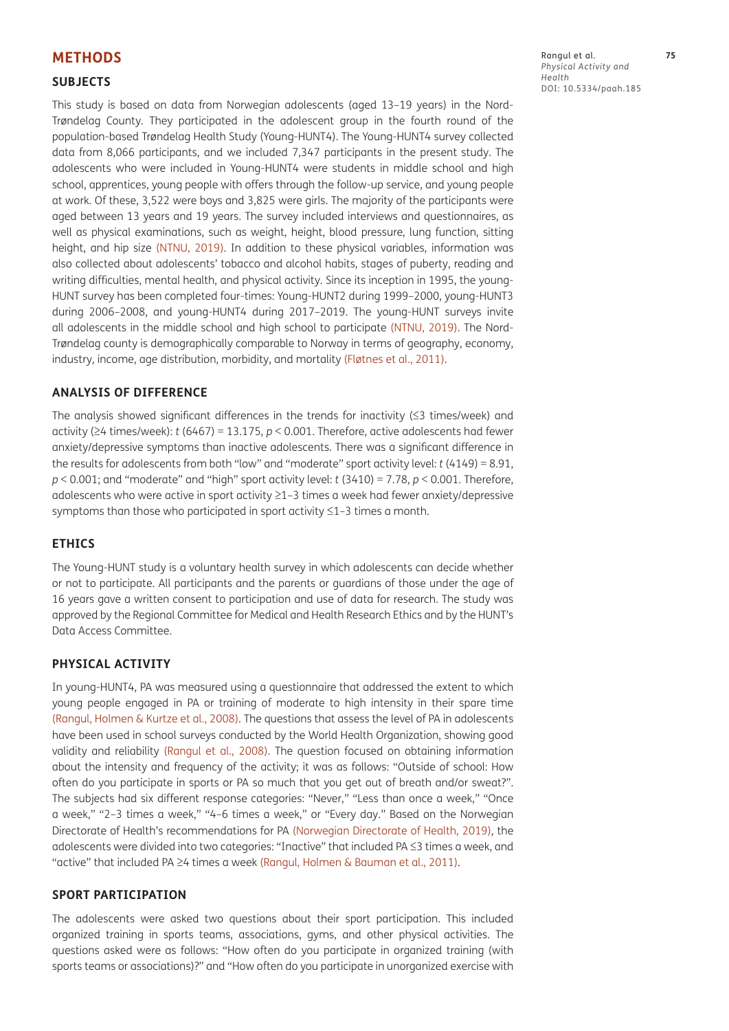## **METHODS**

#### **SUBJECTS**

This study is based on data from Norwegian adolescents (aged 13–19 years) in the Nord-Trøndelag County. They participated in the adolescent group in the fourth round of the population-based Trøndelag Health Study (Young-HUNT4). The Young-HUNT4 survey collected data from 8,066 participants, and we included 7,347 participants in the present study. The adolescents who were included in Young-HUNT4 were students in middle school and high school, apprentices, young people with offers through the follow-up service, and young people at work. Of these, 3,522 were boys and 3,825 were girls. The majority of the participants were aged between 13 years and 19 years. The survey included interviews and questionnaires, as well as physical examinations, such as weight, height, blood pressure, lung function, sitting height, and hip size [\(NTNU, 2019\)](#page-11-5). In addition to these physical variables, information was also collected about adolescents' tobacco and alcohol habits, stages of puberty, reading and writing difficulties, mental health, and physical activity. Since its inception in 1995, the young-HUNT survey has been completed four-times: Young-HUNT2 during 1999–2000, young-HUNT3 during 2006–2008, and young-HUNT4 during 2017–2019. The young-HUNT surveys invite all adolescents in the middle school and high school to participate ([NTNU, 2019\)](#page-11-5). The Nord-Trøndelag county is demographically comparable to Norway in terms of geography, economy, industry, income, age distribution, morbidity, and mortality (Fløtnes et al., 2011).

#### **ANALYSIS OF DIFFERENCE**

The analysis showed significant differences in the trends for inactivity (≤3 times/week) and activity (≥4 times/week): *t* (6467) = 13.175, *p* < 0.001. Therefore, active adolescents had fewer anxiety/depressive symptoms than inactive adolescents. There was a significant difference in the results for adolescents from both "low" and "moderate" sport activity level: *t* (4149) = 8.91, *p* < 0.001; and "moderate" and "high" sport activity level: *t* (3410) = 7.78, *p* < 0.001. Therefore, adolescents who were active in sport activity ≥1–3 times a week had fewer anxiety/depressive symptoms than those who participated in sport activity ≤1–3 times a month.

## **ETHICS**

The Young-HUNT study is a voluntary health survey in which adolescents can decide whether or not to participate. All participants and the parents or guardians of those under the age of 16 years gave a written consent to participation and use of data for research. The study was approved by the Regional Committee for Medical and Health Research Ethics and by the HUNT's Data Access Committee.

# **PHYSICAL ACTIVITY**

In young-HUNT4, PA was measured using a questionnaire that addressed the extent to which young people engaged in PA or training of moderate to high intensity in their spare time [\(Rangul, Holmen & Kurtze et al., 2008\)](#page-11-6). The questions that assess the level of PA in adolescents have been used in school surveys conducted by the World Health Organization, showing good validity and reliability ([Rangul et al., 2008\)](#page-11-6). The question focused on obtaining information about the intensity and frequency of the activity; it was as follows: "Outside of school: How often do you participate in sports or PA so much that you get out of breath and/or sweat?". The subjects had six different response categories: "Never," "Less than once a week," "Once a week," "2–3 times a week," "4–6 times a week," or "Every day." Based on the Norwegian Directorate of Health's recommendations for PA ([Norwegian Directorate of Health, 2019](#page-11-7)), the adolescents were divided into two categories: "Inactive" that included PA ≤3 times a week, and "active" that included PA ≥4 times a week [\(Rangul, Holmen & Bauman et al., 2011\)](#page-11-6).

#### **SPORT PARTICIPATION**

The adolescents were asked two questions about their sport participation. This included organized training in sports teams, associations, gyms, and other physical activities. The questions asked were as follows: "How often do you participate in organized training (with sports teams or associations)?" and "How often do you participate in unorganized exercise with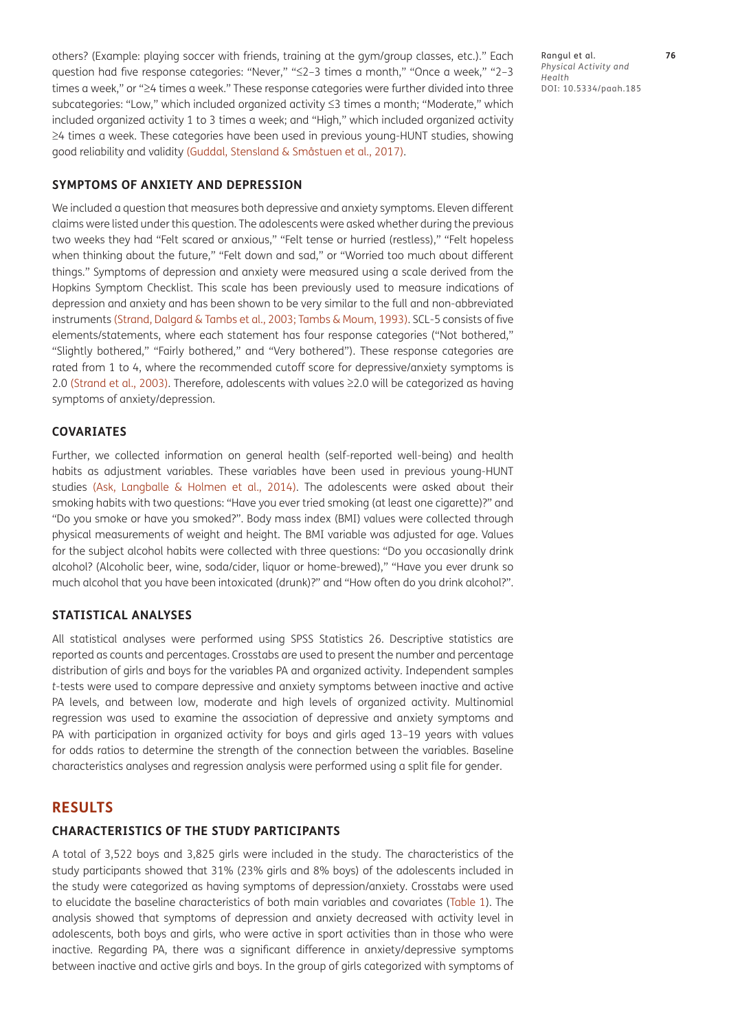others? (Example: playing soccer with friends, training at the gym/group classes, etc.)." Each question had five response categories: "Never," "≤2–3 times a month," "Once a week," "2–3 times a week," or "≥4 times a week." These response categories were further divided into three subcategories: "Low," which included organized activity ≤3 times a month; "Moderate," which included organized activity 1 to 3 times a week; and "High," which included organized activity ≥4 times a week. These categories have been used in previous young-HUNT studies, showing good reliability and validity (Guddal, Stensland & Småstuen et al., 2017).

# **SYMPTOMS OF ANXIETY AND DEPRESSION**

We included a question that measures both depressive and anxiety symptoms. Eleven different claims were listed under this question. The adolescents were asked whether during the previous two weeks they had "Felt scared or anxious," "Felt tense or hurried (restless)," "Felt hopeless when thinking about the future," "Felt down and sad," or "Worried too much about different things." Symptoms of depression and anxiety were measured using a scale derived from the Hopkins Symptom Checklist. This scale has been previously used to measure indications of depression and anxiety and has been shown to be very similar to the full and non-abbreviated instruments ([Strand, Dalgard & Tambs et al., 2003;](#page-12-3) [Tambs & Moum, 1993](#page-12-4)). SCL-5 consists of five elements/statements, where each statement has four response categories ("Not bothered," "Slightly bothered," "Fairly bothered," and "Very bothered"). These response categories are rated from 1 to 4, where the recommended cutoff score for depressive/anxiety symptoms is 2.0 [\(Strand et al., 2003](#page-12-3)). Therefore, adolescents with values ≥2.0 will be categorized as having symptoms of anxiety/depression.

#### **COVARIATES**

Further, we collected information on general health (self-reported well-being) and health habits as adjustment variables. These variables have been used in previous young-HUNT studies (Ask, Langballe & Holmen et al., 2014). The adolescents were asked about their smoking habits with two questions: "Have you ever tried smoking (at least one cigarette)?" and "Do you smoke or have you smoked?". Body mass index (BMI) values were collected through physical measurements of weight and height. The BMI variable was adjusted for age. Values for the subject alcohol habits were collected with three questions: "Do you occasionally drink alcohol? (Alcoholic beer, wine, soda/cider, liquor or home-brewed)," "Have you ever drunk so much alcohol that you have been intoxicated (drunk)?" and "How often do you drink alcohol?".

#### **STATISTICAL ANALYSES**

All statistical analyses were performed using SPSS Statistics 26. Descriptive statistics are reported as counts and percentages. Crosstabs are used to present the number and percentage distribution of girls and boys for the variables PA and organized activity. Independent samples *t*-tests were used to compare depressive and anxiety symptoms between inactive and active PA levels, and between low, moderate and high levels of organized activity. Multinomial regression was used to examine the association of depressive and anxiety symptoms and PA with participation in organized activity for boys and girls aged 13–19 years with values for odds ratios to determine the strength of the connection between the variables. Baseline characteristics analyses and regression analysis were performed using a split file for gender.

#### **RESULTS**

#### **CHARACTERISTICS OF THE STUDY PARTICIPANTS**

A total of 3,522 boys and 3,825 girls were included in the study. The characteristics of the study participants showed that 31% (23% girls and 8% boys) of the adolescents included in the study were categorized as having symptoms of depression/anxiety. Crosstabs were used to elucidate the baseline characteristics of both main variables and covariates [\(Table 1\)](#page-4-0). The analysis showed that symptoms of depression and anxiety decreased with activity level in adolescents, both boys and girls, who were active in sport activities than in those who were inactive. Regarding PA, there was a significant difference in anxiety/depressive symptoms between inactive and active girls and boys. In the group of girls categorized with symptoms of

Rangul et al. **76** *Physical Activity and Health* DOI: 10.5334/paah.185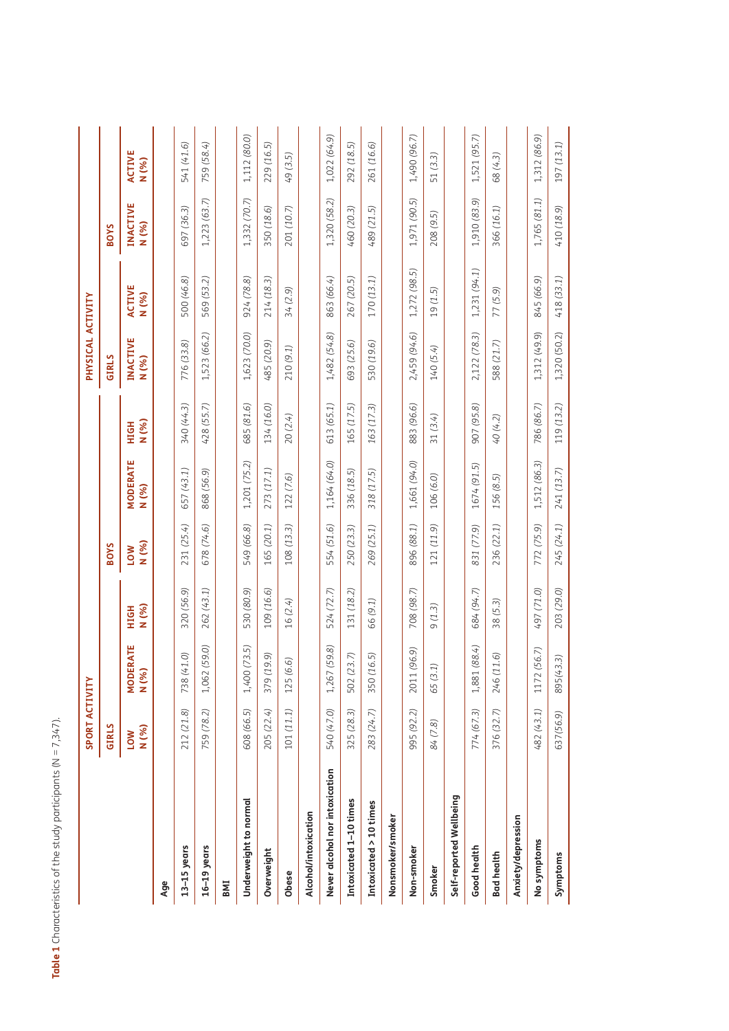|                                | <b>SPORT ACTIVITY</b> |                          |                     |                     |                          |               | PHYSICAL ACTIVITY |                        |                          |                 |
|--------------------------------|-----------------------|--------------------------|---------------------|---------------------|--------------------------|---------------|-------------------|------------------------|--------------------------|-----------------|
|                                | <b>GIRLS</b>          |                          |                     | <b>BOYS</b>         |                          |               | GIRLS             |                        | <b>BOYS</b>              |                 |
|                                | N (%)<br>LOW          | <b>MODERATE</b><br>N (%) | N (%)<br>HIGH       | N (%)<br><b>NO7</b> | <b>MODERATE</b><br>N (%) | N (%)<br>HIGH | INACTIVE<br>N (%) | <b>ACTIVE</b><br>N (%) | <b>INACTIVE</b><br>N (%) | ACTIVE<br>N (%) |
| Age                            |                       |                          |                     |                     |                          |               |                   |                        |                          |                 |
| $13-15$ years                  | 212 (21.8)            | Ô.<br>738 (41            | 320 (56.9)          | 231 (25.4)          | 657 (43.1)               | 340 (44.3)    | 776 (33.8)        | 500 (46.8)             | 697 (36.3)               | 541 (41.6)      |
| $16-19$ years                  | 759 (78.2)            | (59.0)<br>1,062          | 262 (43.1)          | 678 (74.6)          | 868 (56.9)               | 428 (55.7)    | 1,523 (66.2)      | 569 (53.2)             | 1,223 (63.7)             | 759 (58.4)      |
| BMI                            |                       |                          |                     |                     |                          |               |                   |                        |                          |                 |
| Underweight to normal          | 608 (66.5)            | (73.5)<br>1,400          | 530 (80.9)          | 549 (66.8)          | 1,201 (75.2)             | 685 (81.6)    | 1,623 (70.0)      | 924 (78.8)             | 1,332 (70.7)             | 1,112 (80.0)    |
| Overweight                     | 205 (22.4)            | Ġ.<br>379 (19            | 109 (16.6)          | 165 (20.1)          | 273 (17.1)               | 134 (16.0)    | 485 (20.9)        | 214 (18.3)             | 350 (18.6)               | 229 (16.5)      |
| Obese                          | 101 (11.1)            | 6<br>125 (6.             | 16 (2.4)            | 108 (13.3)          | 122 (7.6)                | 20 (2.4)      | 210 (9.1)         | 34 (2.9)               | 201 (10.7)               | 49 (3.5)        |
| Alcohol/intoxication           |                       |                          |                     |                     |                          |               |                   |                        |                          |                 |
| Never alcohol nor intoxication | 540 (47.0)            | 1,267 (59.8)             | 524 (72.7)          | 554 (51.6)          | 1,164 (64.0)             | 613 (65.1)    | 1,482 (54.8)      | 863 (66.4)             | 1,320 (58.2)             | 1,022 (64.9)    |
| Intoxicated 1-10 times         | 325 (28.3)            | I.<br>502 (23            | 131 (18.2)          | 250 (23.3)          | 336 (18.5)               | 165 (17.5)    | 693 (25.6)        | 267 (20.5)             | 460 (20.3)               | 292 (18.5)      |
| Intoxicated > 10 times         | 283 (24.7)            | 5<br>350 (16             | 66 (9.1)            | 269 (25.1)          | 318 (17.5)               | 163 (17.3)    | 530 (19.6)        | 170 (13.1)             | 489 (21.5)               | 261 (16.6)      |
| Nonsmoker/smoker               |                       |                          |                     |                     |                          |               |                   |                        |                          |                 |
| Non-smoker                     | 995 (92.2)            | (6.9)<br>2011 (9         | 708 (98.7)          | 896 (88.1)          | 1,661 (94.0)             | 883 (96.6)    | 2,459 (94.6)      | 1,272 (98.5)           | 1,971 (90.5)             | 1,490 (96.7)    |
| Smoker                         | 84 (7.8)              | 65 (3.1)                 | $(1.3)$<br>$\sigma$ | 121 (11.9)          | 106 (6.0)                | 31 $(3.4)$    | 140 (5.4)         | 19 (1.5)               | 208 (9.5)                | 51 (3.3)        |
| Self-reported Wellbeing        |                       |                          |                     |                     |                          |               |                   |                        |                          |                 |
| Good health                    | 774 (67.3)            | (88.4)<br>1,881          | 684 (94.7)          | 831 (77.9)          | 1674 (91.5)              | 907 (95.8)    | 2,122 (78.3)      | 1,231 (94.1)           | 1,910 (83.9)             | 1,521 (95.7)    |
| <b>Bad health</b>              | 376 (32.7)            | $\odot$<br>246 (11       | 38 (5.3)            | 236 (22.1)          | 156 (8.5)                | 40 (4.2)      | 588 (21.7)        | 77 (5.9)               | 366 (16.1)               | 68 (4.3)        |
| Anxiety/depression             |                       |                          |                     |                     |                          |               |                   |                        |                          |                 |
| No symptoms                    | 482 (43.1)            | (6.7)<br>1172 (5         | 497 (71.0)          | 772 (75.9)          | 1,512 (86.3)             | 786 (86.7)    | 1,312 (49.9)      | 845 (66.9)             | 1,765 (81.1)             | 1,312 (86.9)    |

**Symptoms** 637*(56.9)* 895*(43.3)* 203 *(29.0)* 245 *(24.1)* 241 *(13.7)* 119 *(13.2)* 1,320 (50.2) 418 *(33.1)* 410 *(18.9)* 197 *(13.1)*

245 (24.1)

203 (29.0)

895(43.3)

637(56.9)

Symptoms

 $241(13.7)$ 

 $197(13.1)$ 

410 (18.9)

 $1,320(50.2)$  418(33.1)

119 (13.2)

<span id="page-4-0"></span>**Table 1** Characteristics of the study participants (N = 7,347).

Table 1 Characteristics of the study participants (N = 7,347).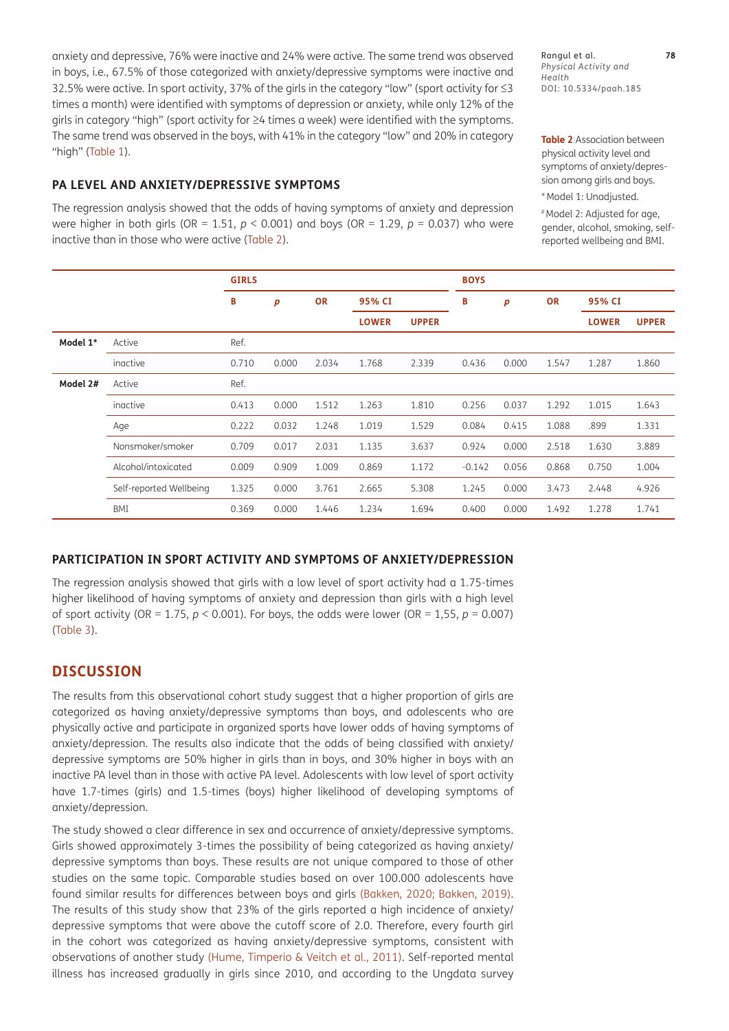anxiety and depressive, 76% were inactive and 24% were active. The same trend was observed in boys, i.e., 67.5% of those categorized with anxiety/depressive symptoms were inactive and 32.5% were active. In sport activity, 37% of the girls in the category "low" (sport activity for ≤3 times a month) were identified with symptoms of depression or anxiety, while only 12% of the girls in category "high" (sport activity for ≥4 times a week) were identified with the symptoms. The same trend was observed in the boys, with 41% in the category "low" and 20% in category "high" [\(Table 1\)](#page-4-0).

Rangul et al. **78** *Physical Activity and Health* DOI: 10.5334/paah.185

<span id="page-5-0"></span>**Table 2** Association between physical activity level and symptoms of anxiety/depression among girls and boys.

\*Model 1: Unadjusted. # Model 2: Adjusted for age,

gender, alcohol, smoking, selfreported wellbeing and BMI.

#### **PA LEVEL AND ANXIETY/DEPRESSIVE SYMPTOMS**

The regression analysis showed that the odds of having symptoms of anxiety and depression were higher in both girls ( $OR = 1.51$ ,  $p < 0.001$ ) and boys ( $OR = 1.29$ ,  $p = 0.037$ ) who were inactive than in those who were active [\(Table 2\)](#page-5-0).

|          |                         | <b>GIRLS</b> |       |           |              |              | <b>BOYS</b> |       |           |              |              |
|----------|-------------------------|--------------|-------|-----------|--------------|--------------|-------------|-------|-----------|--------------|--------------|
|          |                         | В            | p     | <b>OR</b> | 95% CI       |              | B           | p     | <b>OR</b> | 95% CI       |              |
|          |                         |              |       |           | <b>LOWER</b> | <b>UPPER</b> |             |       |           | <b>LOWER</b> | <b>UPPER</b> |
| Model 1* | Active                  | Ref.         |       |           |              |              |             |       |           |              |              |
|          | inactive                | 0.710        | 0.000 | 2.034     | 1.768        | 2.339        | 0.436       | 0.000 | 1.547     | 1.287        | 1.860        |
| Model 2# | Active                  | Ref.         |       |           |              |              |             |       |           |              |              |
|          | inactive                | 0.413        | 0.000 | 1.512     | 1.263        | 1.810        | 0.256       | 0.037 | 1.292     | 1.015        | 1.643        |
|          | Age                     | 0.222        | 0.032 | 1.248     | 1.019        | 1.529        | 0.084       | 0.415 | 1.088     | .899         | 1.331        |
|          | Nonsmoker/smoker        | 0.709        | 0.017 | 2.031     | 1.135        | 3.637        | 0.924       | 0.000 | 2.518     | 1.630        | 3.889        |
|          | Alcohol/intoxicated     | 0.009        | 0.909 | 1.009     | 0.869        | 1.172        | $-0.142$    | 0.056 | 0.868     | 0.750        | 1.004        |
|          | Self-reported Wellbeing | 1.325        | 0.000 | 3.761     | 2.665        | 5.308        | 1.245       | 0.000 | 3.473     | 2.448        | 4.926        |
|          | BMI                     | 0.369        | 0.000 | 1.446     | 1.234        | 1.694        | 0.400       | 0.000 | 1.492     | 1.278        | 1.741        |

# **PARTICIPATION IN SPORT ACTIVITY AND SYMPTOMS OF ANXIETY/DEPRESSION**

The regression analysis showed that girls with a low level of sport activity had a 1.75-times higher likelihood of having symptoms of anxiety and depression than girls with a high level of sport activity (OR = 1.75, *p* < 0.001). For boys, the odds were lower (OR = 1,55, *p* = 0.007) ([Table 3](#page-6-0)).

# **DISCUSSION**

The results from this observational cohort study suggest that a higher proportion of girls are categorized as having anxiety/depressive symptoms than boys, and adolescents who are physically active and participate in organized sports have lower odds of having symptoms of anxiety/depression. The results also indicate that the odds of being classified with anxiety/ depressive symptoms are 50% higher in girls than in boys, and 30% higher in boys with an inactive PA level than in those with active PA level. Adolescents with low level of sport activity have 1.7-times (girls) and 1.5-times (boys) higher likelihood of developing symptoms of anxiety/depression.

The study showed a clear difference in sex and occurrence of anxiety/depressive symptoms. Girls showed approximately 3-times the possibility of being categorized as having anxiety/ depressive symptoms than boys. These results are not unique compared to those of other studies on the same topic. Comparable studies based on over 100.000 adolescents have found similar results for differences between boys and girls [\(Bakken, 2020](#page-10-1); [Bakken, 2019](#page-10-0)). The results of this study show that 23% of the girls reported a high incidence of anxiety/ depressive symptoms that were above the cutoff score of 2.0. Therefore, every fourth girl in the cohort was categorized as having anxiety/depressive symptoms, consistent with observations of another study ([Hume, Timperio & Veitch et al., 2011](#page-10-5)). Self-reported mental illness has increased gradually in girls since 2010, and according to the Ungdata survey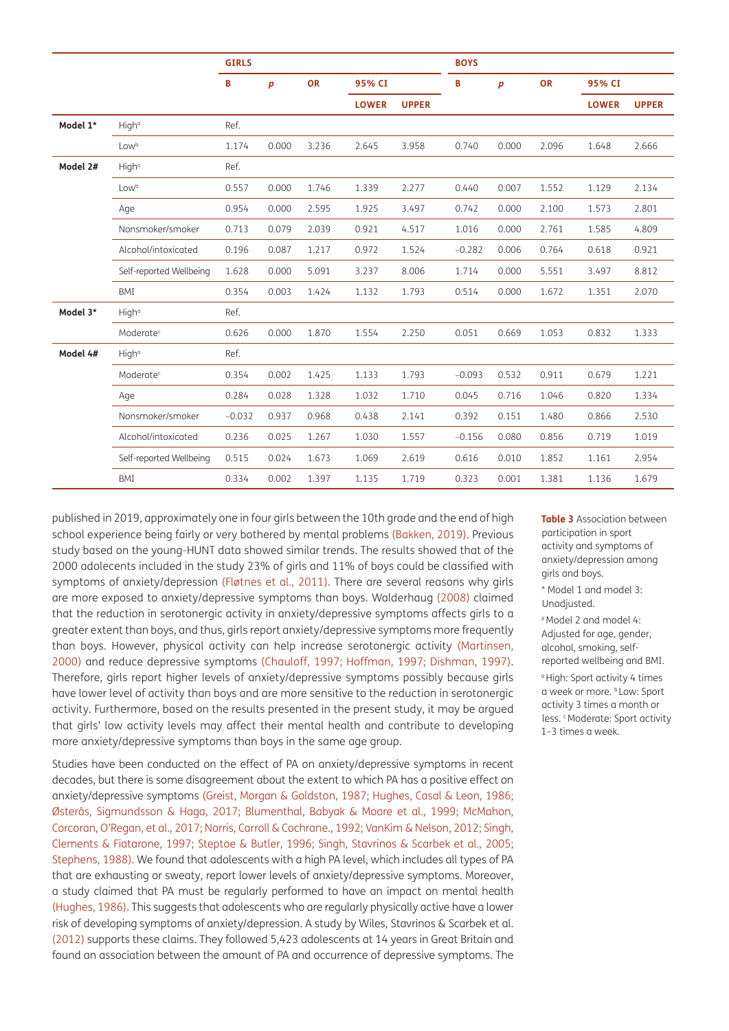|          |                         | <b>GIRLS</b> |       |           |              |              | <b>BOYS</b> |       |           |              |              |
|----------|-------------------------|--------------|-------|-----------|--------------|--------------|-------------|-------|-----------|--------------|--------------|
|          |                         | B            | p     | <b>OR</b> | 95% CI       |              | B           | p     | <b>OR</b> | 95% CI       |              |
|          |                         |              |       |           | <b>LOWER</b> | <b>UPPER</b> |             |       |           | <b>LOWER</b> | <b>UPPER</b> |
| Model 1* | High <sup>a</sup>       | Ref.         |       |           |              |              |             |       |           |              |              |
|          | Lowb                    | 1.174        | 0.000 | 3.236     | 2.645        | 3.958        | 0.740       | 0.000 | 2.096     | 1.648        | 2.666        |
| Model 2# | High <sup>a</sup>       | Ref.         |       |           |              |              |             |       |           |              |              |
|          | Lowb                    | 0.557        | 0.000 | 1.746     | 1.339        | 2.277        | 0.440       | 0.007 | 1.552     | 1.129        | 2.134        |
|          | Age                     | 0.954        | 0.000 | 2.595     | 1.925        | 3.497        | 0.742       | 0.000 | 2.100     | 1.573        | 2.801        |
|          | Nonsmoker/smoker        | 0.713        | 0.079 | 2.039     | 0.921        | 4.517        | 1.016       | 0.000 | 2.761     | 1.585        | 4.809        |
|          | Alcohol/intoxicated     | 0.196        | 0.087 | 1.217     | 0.972        | 1.524        | $-0.282$    | 0.006 | 0.764     | 0.618        | 0.921        |
|          | Self-reported Wellbeing | 1.628        | 0.000 | 5.091     | 3.237        | 8.006        | 1.714       | 0.000 | 5.551     | 3.497        | 8.812        |
|          | <b>BMI</b>              | 0.354        | 0.003 | 1.424     | 1.132        | 1.793        | 0.514       | 0.000 | 1.672     | 1.351        | 2.070        |
| Model 3* | High <sup>a</sup>       | Ref.         |       |           |              |              |             |       |           |              |              |
|          | Moderate <sup>c</sup>   | 0.626        | 0.000 | 1.870     | 1.554        | 2.250        | 0.051       | 0.669 | 1.053     | 0.832        | 1.333        |
| Model 4# | High <sup>a</sup>       | Ref.         |       |           |              |              |             |       |           |              |              |
|          | Moderate <sup>c</sup>   | 0.354        | 0.002 | 1.425     | 1.133        | 1.793        | $-0.093$    | 0.532 | 0.911     | 0.679        | 1.221        |
|          | Age                     | 0.284        | 0.028 | 1.328     | 1.032        | 1.710        | 0.045       | 0.716 | 1.046     | 0.820        | 1.334        |
|          | Nonsmoker/smoker        | $-0.032$     | 0.937 | 0.968     | 0.438        | 2.141        | 0.392       | 0.151 | 1.480     | 0.866        | 2.530        |
|          | Alcohol/intoxicated     | 0.236        | 0.025 | 1.267     | 1.030        | 1.557        | $-0.156$    | 0.080 | 0.856     | 0.719        | 1.019        |
|          | Self-reported Wellbeing | 0.515        | 0.024 | 1.673     | 1.069        | 2.619        | 0.616       | 0.010 | 1.852     | 1.161        | 2.954        |
|          | BMI                     | 0.334        | 0.002 | 1.397     | 1.135        | 1.719        | 0.323       | 0.001 | 1.381     | 1.136        | 1.679        |

published in 2019, approximately one in four girls between the 10th grade and the end of high school experience being fairly or very bothered by mental problems [\(Bakken, 2019](#page-10-0)). Previous study based on the young-HUNT data showed similar trends. The results showed that of the 2000 adolecents included in the study 23% of girls and 11% of boys could be classified with symptoms of anxiety/depression (Fløtnes et al., 2011). There are several reasons why girls are more exposed to anxiety/depressive symptoms than boys. Walderhaug ([2008\)](#page-12-5) claimed that the reduction in serotonergic activity in anxiety/depressive symptoms affects girls to a greater extent than boys, and thus, girls report anxiety/depressive symptoms more frequently than boys. However, physical activity can help increase serotonergic activity ([Martinsen,](#page-11-8)  [2000\)](#page-11-8) and reduce depressive symptoms [\(Chauloff, 1997;](#page-10-6) [Hoffman, 1997;](#page-10-7) [Dishman, 1997](#page-10-8)). Therefore, girls report higher levels of anxiety/depressive symptoms possibly because girls have lower level of activity than boys and are more sensitive to the reduction in serotonergic activity. Furthermore, based on the results presented in the present study, it may be argued that girls' low activity levels may affect their mental health and contribute to developing more anxiety/depressive symptoms than boys in the same age group.

Studies have been conducted on the effect of PA on anxiety/depressive symptoms in recent decades, but there is some disagreement about the extent to which PA has a positive effect on anxiety/depressive symptoms [\(Greist, Morgan & Goldston, 1987;](#page-10-9) Hughes, Casal & Leon, 1986; [Østerås, Sigmundsson & Haga, 2017](#page-12-6); [Blumenthal, Babyak & Moore et al., 1999](#page-10-10); McMahon, Corcoran, O'Regan, et al., 2017; [Norris, Carroll & Cochrane., 1992;](#page-11-9) [VanKim & Nelson, 2012](#page-12-7); [Singh,](#page-12-8)  [Clements & Fiatarone, 1997](#page-12-8); [Steptoe & Butler, 1996;](#page-12-9) [Singh, Stavrinos & Scarbek et al., 2005](#page-12-10); [Stephens, 1988\)](#page-12-11). We found that adolescents with a high PA level, which includes all types of PA that are exhausting or sweaty, report lower levels of anxiety/depressive symptoms. Moreover, a study claimed that PA must be regularly performed to have an impact on mental health (Hughes, 1986). This suggests that adolescents who are regularly physically active have a lower risk of developing symptoms of anxiety/depression. A study by Wiles, Stavrinos & Scarbek et al. [\(2012](#page-12-12)) supports these claims. They followed 5,423 adolescents at 14 years in Great Britain and found an association between the amount of PA and occurrence of depressive symptoms. The

<span id="page-6-0"></span>**Table 3** Association between participation in sport activity and symptoms of anxiety/depression among girls and boys.

\* Model 1 and model 3: Unadjusted.

# Model 2 and model 4: Adjusted for age, gender, alcohol, smoking, selfreported wellbeing and BMI. a High: Sport activity 4 times a week or more. **b** Low: Sport activity 3 times a month or less. <sup>c</sup> Moderate: Sport activity 1–3 times a week.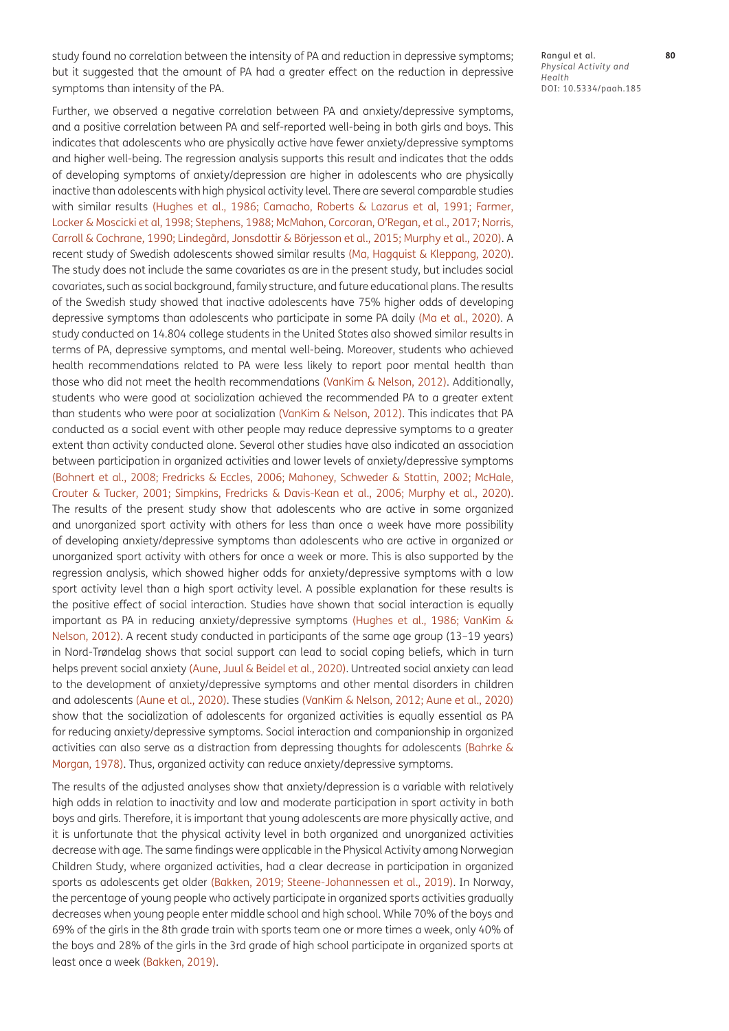study found no correlation between the intensity of PA and reduction in depressive symptoms; but it suggested that the amount of PA had a greater effect on the reduction in depressive symptoms than intensity of the PA.

Further, we observed a negative correlation between PA and anxiety/depressive symptoms, and a positive correlation between PA and self-reported well-being in both girls and boys. This indicates that adolescents who are physically active have fewer anxiety/depressive symptoms and higher well-being. The regression analysis supports this result and indicates that the odds of developing symptoms of anxiety/depression are higher in adolescents who are physically inactive than adolescents with high physical activity level. There are several comparable studies with similar results (Hughes et al., 1986; [Camacho, Roberts & Lazarus et al, 1991](#page-10-11); [Farmer,](#page-10-12)  [Locker & Moscicki et al, 1998](#page-10-12); [Stephens, 1988](#page-12-11); McMahon, Corcoran, O'Regan, et al., 2017; [Norris,](#page-11-10)  [Carroll & Cochrane, 1990](#page-11-10); Lindegård, Jonsdottir & Börjesson et al., 2015; [Murphy et al., 2020\)](#page-11-2). A recent study of Swedish adolescents showed similar results ([Ma, Hagquist & Kleppang, 2020](#page-11-11)). The study does not include the same covariates as are in the present study, but includes social covariates, such as social background, family structure, and future educational plans. The results of the Swedish study showed that inactive adolescents have 75% higher odds of developing depressive symptoms than adolescents who participate in some PA daily ([Ma et al., 2020\)](#page-11-11). A study conducted on 14.804 college students in the United States also showed similar results in terms of PA, depressive symptoms, and mental well-being. Moreover, students who achieved health recommendations related to PA were less likely to report poor mental health than those who did not meet the health recommendations ([VanKim & Nelson, 2012\)](#page-12-7). Additionally, students who were good at socialization achieved the recommended PA to a greater extent than students who were poor at socialization ([VanKim & Nelson, 2012\)](#page-12-7). This indicates that PA conducted as a social event with other people may reduce depressive symptoms to a greater extent than activity conducted alone. Several other studies have also indicated an association between participation in organized activities and lower levels of anxiety/depressive symptoms (Bohnert et al., 2008; [Fredricks & Eccles, 2006](#page-10-13); [Mahoney, Schweder & Stattin, 2002;](#page-11-8) [McHale,](#page-11-12)  [Crouter & Tucker, 2001](#page-11-12); [Simpkins, Fredricks & Davis-Kean et al., 2006;](#page-12-13) [Murphy et al., 2020](#page-11-2)). The results of the present study show that adolescents who are active in some organized and unorganized sport activity with others for less than once a week have more possibility of developing anxiety/depressive symptoms than adolescents who are active in organized or unorganized sport activity with others for once a week or more. This is also supported by the regression analysis, which showed higher odds for anxiety/depressive symptoms with a low sport activity level than a high sport activity level. A possible explanation for these results is the positive effect of social interaction. Studies have shown that social interaction is equally important as PA in reducing anxiety/depressive symptoms (Hughes et al., 1986; [VanKim &](#page-12-7)  [Nelson, 2012](#page-12-7)). A recent study conducted in participants of the same age group (13–19 years) in Nord-Trøndelag shows that social support can lead to social coping beliefs, which in turn helps prevent social anxiety [\(Aune, Juul & Beidel et al., 2020\)](#page-10-14). Untreated social anxiety can lead to the development of anxiety/depressive symptoms and other mental disorders in children and adolescents [\(Aune et al., 2020\)](#page-10-14). These studies ([VanKim & Nelson, 2012;](#page-12-7) [Aune et al., 2020\)](#page-10-14) show that the socialization of adolescents for organized activities is equally essential as PA for reducing anxiety/depressive symptoms. Social interaction and companionship in organized activities can also serve as a distraction from depressing thoughts for adolescents ([Bahrke &](#page-10-15)  Rangul et al. **80** *Physical Activity and Health* DOI: 10.5334/paah.185

[Morgan, 1978\)](#page-10-15). Thus, organized activity can reduce anxiety/depressive symptoms. The results of the adjusted analyses show that anxiety/depression is a variable with relatively high odds in relation to inactivity and low and moderate participation in sport activity in both boys and girls. Therefore, it is important that young adolescents are more physically active, and it is unfortunate that the physical activity level in both organized and unorganized activities decrease with age. The same findings were applicable in the Physical Activity among Norwegian Children Study, where organized activities, had a clear decrease in participation in organized sports as adolescents get older [\(Bakken, 2019;](#page-10-0) [Steene-Johannessen et al., 2019](#page-12-1)). In Norway, the percentage of young people who actively participate in organized sports activities gradually decreases when young people enter middle school and high school. While 70% of the boys and 69% of the girls in the 8th grade train with sports team one or more times a week, only 40% of the boys and 28% of the girls in the 3rd grade of high school participate in organized sports at least once a week ([Bakken, 2019](#page-10-0)).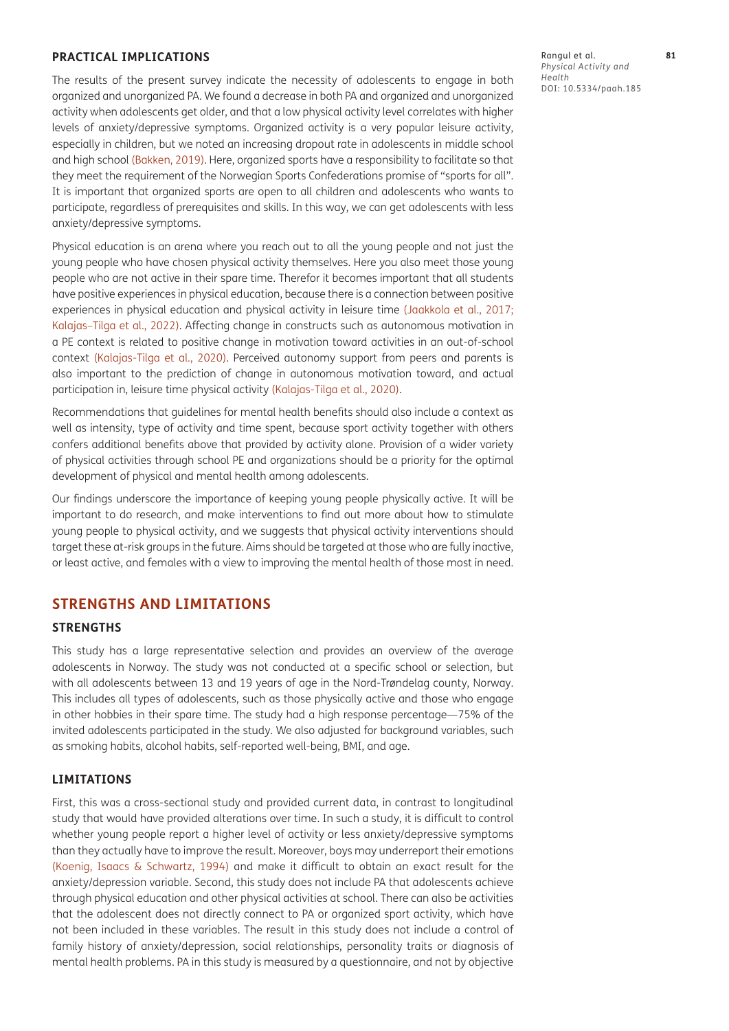#### **PRACTICAL IMPLICATIONS**

The results of the present survey indicate the necessity of adolescents to engage in both organized and unorganized PA. We found a decrease in both PA and organized and unorganized activity when adolescents get older, and that a low physical activity level correlates with higher levels of anxiety/depressive symptoms. Organized activity is a very popular leisure activity, especially in children, but we noted an increasing dropout rate in adolescents in middle school and high school [\(Bakken, 2019\)](#page-10-0). Here, organized sports have a responsibility to facilitate so that they meet the requirement of the Norwegian Sports Confederations promise of "sports for all". It is important that organized sports are open to all children and adolescents who wants to participate, regardless of prerequisites and skills. In this way, we can get adolescents with less anxiety/depressive symptoms.

Physical education is an arena where you reach out to all the young people and not just the young people who have chosen physical activity themselves. Here you also meet those young people who are not active in their spare time. Therefor it becomes important that all students have positive experiences in physical education, because there is a connection between positive experiences in physical education and physical activity in leisure time ([Jaakkola et al., 2017](#page-10-16); [Kalajas–Tilga et al., 2022](#page-11-13)). Affecting change in constructs such as autonomous motivation in a PE context is related to positive change in motivation toward activities in an out-of-school context ([Kalajas-Tilga et al., 2020\)](#page-11-14). Perceived autonomy support from peers and parents is also important to the prediction of change in autonomous motivation toward, and actual participation in, leisure time physical activity ([Kalajas-Tilga et al., 2020](#page-11-14)).

Recommendations that guidelines for mental health benefits should also include a context as well as intensity, type of activity and time spent, because sport activity together with others confers additional benefits above that provided by activity alone. Provision of a wider variety of physical activities through school PE and organizations should be a priority for the optimal development of physical and mental health among adolescents.

Our findings underscore the importance of keeping young people physically active. It will be important to do research, and make interventions to find out more about how to stimulate young people to physical activity, and we suggests that physical activity interventions should target these at-risk groups in the future. Aims should be targeted at those who are fully inactive, or least active, and females with a view to improving the mental health of those most in need.

# **STRENGTHS AND LIMITATIONS**

#### **STRENGTHS**

This study has a large representative selection and provides an overview of the average adolescents in Norway. The study was not conducted at a specific school or selection, but with all adolescents between 13 and 19 years of age in the Nord-Trøndelag county, Norway. This includes all types of adolescents, such as those physically active and those who engage in other hobbies in their spare time. The study had a high response percentage—75% of the invited adolescents participated in the study. We also adjusted for background variables, such as smoking habits, alcohol habits, self-reported well-being, BMI, and age.

#### **LIMITATIONS**

First, this was a cross-sectional study and provided current data, in contrast to longitudinal study that would have provided alterations over time. In such a study, it is difficult to control whether young people report a higher level of activity or less anxiety/depressive symptoms than they actually have to improve the result. Moreover, boys may underreport their emotions ([Koenig, Isaacs & Schwartz, 1994](#page-11-15)) and make it difficult to obtain an exact result for the anxiety/depression variable. Second, this study does not include PA that adolescents achieve through physical education and other physical activities at school. There can also be activities that the adolescent does not directly connect to PA or organized sport activity, which have not been included in these variables. The result in this study does not include a control of family history of anxiety/depression, social relationships, personality traits or diagnosis of mental health problems. PA in this study is measured by a questionnaire, and not by objective Rangul et al. **81** *Physical Activity and Health* DOI: 10.5334/paah.185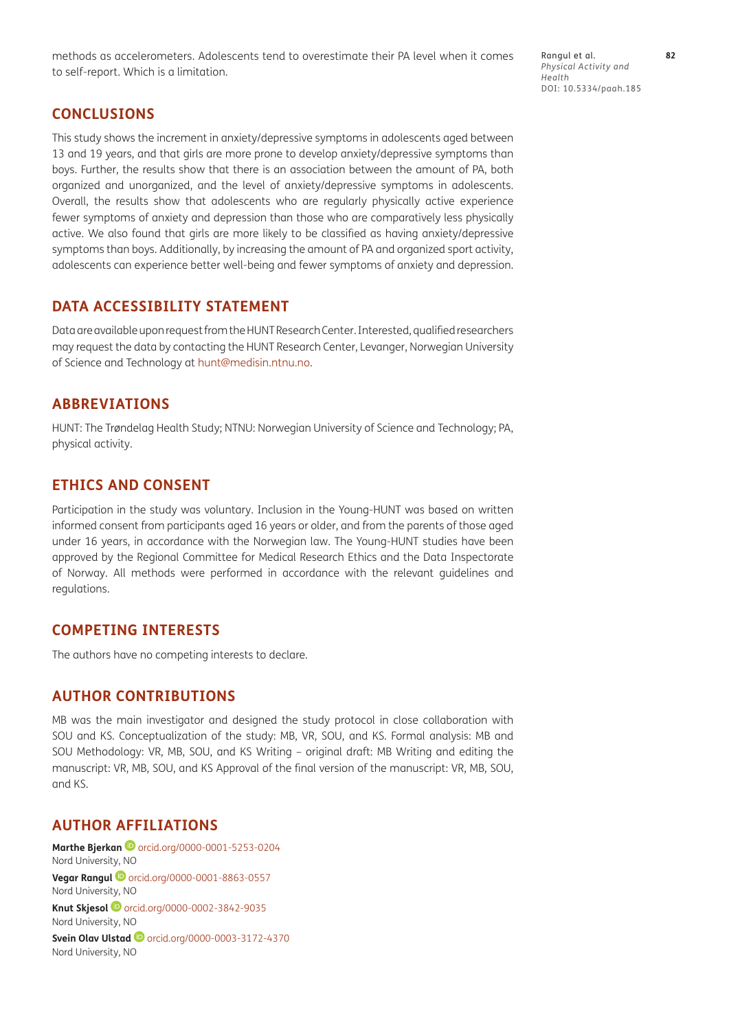methods as accelerometers. Adolescents tend to overestimate their PA level when it comes to self-report. Which is a limitation.

Rangul et al. **82** *Physical Activity and Health* DOI: 10.5334/paah.185

# **CONCLUSIONS**

This study shows the increment in anxiety/depressive symptoms in adolescents aged between 13 and 19 years, and that girls are more prone to develop anxiety/depressive symptoms than boys. Further, the results show that there is an association between the amount of PA, both organized and unorganized, and the level of anxiety/depressive symptoms in adolescents. Overall, the results show that adolescents who are regularly physically active experience fewer symptoms of anxiety and depression than those who are comparatively less physically active. We also found that girls are more likely to be classified as having anxiety/depressive symptoms than boys. Additionally, by increasing the amount of PA and organized sport activity, adolescents can experience better well-being and fewer symptoms of anxiety and depression.

# **DATA ACCESSIBILITY STATEMENT**

Data are available upon request from the HUNT Research Center. Interested, qualified researchers may request the data by contacting the HUNT Research Center, Levanger, Norwegian University of Science and Technology at [hunt@medisin.ntnu.no](mailto:hunt@medisin.ntnu.no).

# **ABBREVIATIONS**

HUNT: The Trøndelag Health Study; NTNU: Norwegian University of Science and Technology; PA, physical activity.

# **ETHICS AND CONSENT**

Participation in the study was voluntary. Inclusion in the Young-HUNT was based on written informed consent from participants aged 16 years or older, and from the parents of those aged under 16 years, in accordance with the Norwegian law. The Young-HUNT studies have been approved by the Regional Committee for Medical Research Ethics and the Data Inspectorate of Norway. All methods were performed in accordance with the relevant guidelines and regulations.

## **COMPETING INTERESTS**

The authors have no competing interests to declare.

# **AUTHOR CONTRIBUTIONS**

MB was the main investigator and designed the study protocol in close collaboration with SOU and KS. Conceptualization of the study: MB, VR, SOU, and KS. Formal analysis: MB and SOU Methodology: VR, MB, SOU, and KS Writing – original draft: MB Writing and editing the manuscript: VR, MB, SOU, and KS Approval of the final version of the manuscript: VR, MB, SOU, and KS.

# <span id="page-9-0"></span>**AUTHOR AFFILIATIONS**

**Marthe Bjerkan D** [orcid.org/0000-0001-5253-0204](https://orcid.org/0000-0001-5253-0204) Nord University, NO **Vegar Rangul <sup>1</sup>** [orcid.org/0000-0001-8863-0557](https://orcid.org/0000-0001-8863-0557) Nord University, NO **Knut Skjesol**[orcid.org/0000-0002-3842-9035](https://orcid.org/0000-0002-3842-9035) Nord University, NO **SveinOlav Ulstad D** [orcid.org/0000-0003-3172-4370](https://orcid.org/0000-0003-3172-4370) Nord University, NO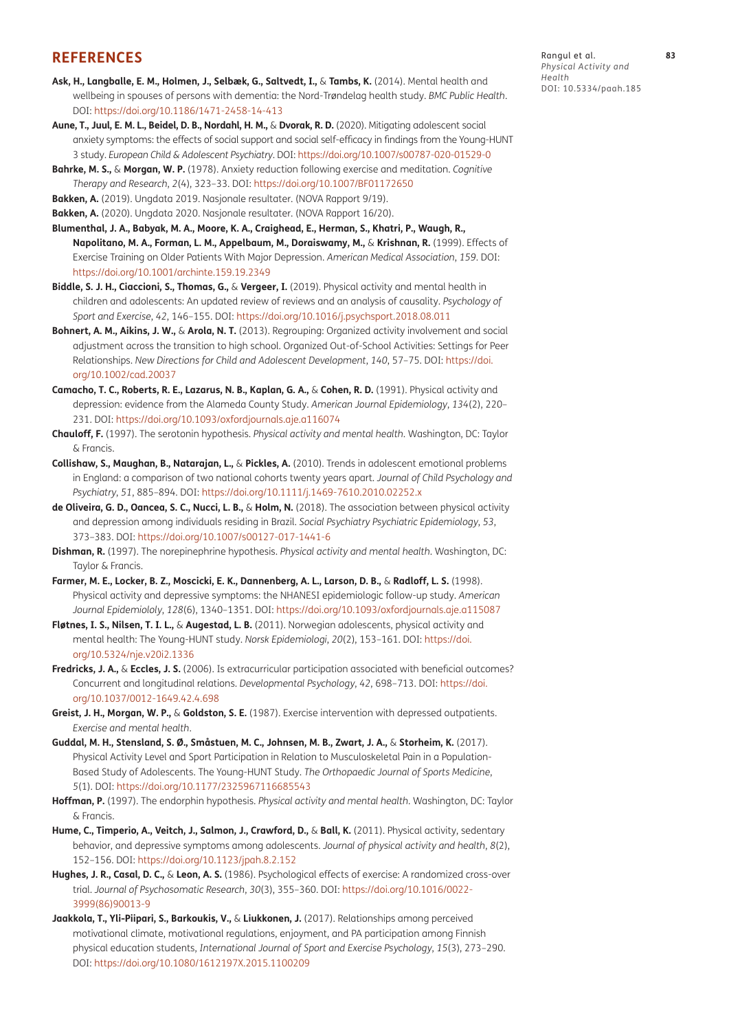## **REFERENCES**

- **Ask, H., Langballe, E. M., Holmen, J., Selbæk, G., Saltvedt, I.,** & **Tambs, K.** (2014). Mental health and wellbeing in spouses of persons with dementia: the Nord-Trøndelag health study. *BMC Public Health*. DOI:<https://doi.org/10.1186/1471-2458-14-413>
- <span id="page-10-14"></span>**Aune, T., Juul, E. M. L., Beidel, D. B., Nordahl, H. M.,** & **Dvorak, R. D.** (2020). Mitigating adolescent social anxiety symptoms: the effects of social support and social self-efficacy in findings from the Young-HUNT 3 study. *European Child & Adolescent Psychiatry*. DOI:<https://doi.org/10.1007/s00787-020-01529-0>
- <span id="page-10-15"></span>**Bahrke, M. S.,** & **Morgan, W. P.** (1978). Anxiety reduction following exercise and meditation. *Cognitive Therapy and Research*, *2*(4), 323–33. DOI:<https://doi.org/10.1007/BF01172650>
- <span id="page-10-0"></span>**Bakken, A.** (2019). Ungdata 2019. Nasjonale resultater. (NOVA Rapport 9/19).

<span id="page-10-1"></span>**Bakken, A.** (2020). Ungdata 2020. Nasjonale resultater. (NOVA Rapport 16/20).

- <span id="page-10-10"></span>**Blumenthal, J. A., Babyak, M. A., Moore, K. A., Craighead, E., Herman, S., Khatri, P., Waugh, R., Napolitano, M. A., Forman, L. M., Appelbaum, M., Doraiswamy, M.,** & **Krishnan, R.** (1999). Effects of Exercise Training on Older Patients With Major Depression. *American Medical Association*, *159*. DOI: <https://doi.org/10.1001/archinte.159.19.2349>
- <span id="page-10-3"></span>**Biddle, S. J. H., Ciaccioni, S., Thomas, G.,** & **Vergeer, I.** (2019). Physical activity and mental health in children and adolescents: An updated review of reviews and an analysis of causality. *Psychology of Sport and Exercise*, *42*, 146–155. DOI:<https://doi.org/10.1016/j.psychsport.2018.08.011>
- <span id="page-10-4"></span>**Bohnert, A. M., Aikins, J. W.,** & **Arola, N. T.** (2013). Regrouping: Organized activity involvement and social adjustment across the transition to high school. Organized Out-of-School Activities: Settings for Peer Relationships. *New Directions for Child and Adolescent Development*, *140*, 57–75. DOI: [https://doi.](https://doi.org/10.1002/cad.20037) [org/10.1002/cad.20037](https://doi.org/10.1002/cad.20037)
- <span id="page-10-11"></span>**Camacho, T. C., Roberts, R. E., Lazarus, N. B., Kaplan, G. A.,** & **Cohen, R. D.** (1991). Physical activity and depression: evidence from the Alameda County Study. *American Journal Epidemiology*, *134*(2), 220– 231. DOI: <https://doi.org/10.1093/oxfordjournals.aje.a116074>
- <span id="page-10-6"></span>**Chauloff, F.** (1997). The serotonin hypothesis. *Physical activity and mental health*. Washington, DC: Taylor & Francis.
- <span id="page-10-2"></span>**Collishaw, S., Maughan, B., Natarajan, L.,** & **Pickles, A.** (2010). Trends in adolescent emotional problems in England: a comparison of two national cohorts twenty years apart. *Journal of Child Psychology and Psychiatry*, *51*, 885–894. DOI: <https://doi.org/10.1111/j.1469-7610.2010.02252.x>
- **de Oliveira, G. D., Oancea, S. C., Nucci, L. B.,** & **Holm, N.** (2018). The association between physical activity and depression among individuals residing in Brazil. *Social Psychiatry Psychiatric Epidemiology*, *53*, 373–383. DOI: <https://doi.org/10.1007/s00127-017-1441-6>
- <span id="page-10-8"></span>**Dishman, R.** (1997). The norepinephrine hypothesis. *Physical activity and mental health*. Washington, DC: Taylor & Francis.
- <span id="page-10-12"></span>**Farmer, M. E., Locker, B. Z., Moscicki, E. K., Dannenberg, A. L., Larson, D. B.,** & **Radloff, L. S.** (1998). Physical activity and depressive symptoms: the NHANESI epidemiologic follow-up study. *American Journal Epidemiololy*, *128*(6), 1340–1351. DOI: <https://doi.org/10.1093/oxfordjournals.aje.a115087>
- **Fløtnes, I. S., Nilsen, T. I. L.,** & **Augestad, L. B.** (2011). Norwegian adolescents, physical activity and mental health: The Young-HUNT study. *Norsk Epidemiologi*, *20*(2), 153–161. DOI: [https://doi.](https://doi.org/10.5324/nje.v20i2.1336) [org/10.5324/nje.v20i2.1336](https://doi.org/10.5324/nje.v20i2.1336)
- <span id="page-10-13"></span>**Fredricks, J. A.,** & **Eccles, J. S.** (2006). Is extracurricular participation associated with beneficial outcomes? Concurrent and longitudinal relations. *Developmental Psychology*, *42*, 698–713. DOI: [https://doi.](https://doi.org/10.1037/0012-1649.42.4.698) [org/10.1037/0012-1649.42.4.698](https://doi.org/10.1037/0012-1649.42.4.698)
- <span id="page-10-9"></span>**Greist, J. H., Morgan, W. P.,** & **Goldston, S. E.** (1987). Exercise intervention with depressed outpatients. *Exercise and mental health*.
- **Guddal, M. H., Stensland, S. Ø., Småstuen, M. C., Johnsen, M. B., Zwart, J. A.,** & **Storheim, K.** (2017). Physical Activity Level and Sport Participation in Relation to Musculoskeletal Pain in a Population-Based Study of Adolescents. The Young-HUNT Study. *The Orthopaedic Journal of Sports Medicine*, *5*(1). DOI:<https://doi.org/10.1177/2325967116685543>
- <span id="page-10-7"></span>**Hoffman, P.** (1997). The endorphin hypothesis. *Physical activity and mental health*. Washington, DC: Taylor & Francis.
- <span id="page-10-5"></span>**Hume, C., Timperio, A., Veitch, J., Salmon, J., Crawford, D.,** & **Ball, K.** (2011). Physical activity, sedentary behavior, and depressive symptoms among adolescents. *Journal of physical activity and health*, *8*(2), 152–156. DOI: <https://doi.org/10.1123/jpah.8.2.152>
- **Hughes, J. R., Casal, D. C.,** & **Leon, A. S.** (1986). Psychological effects of exercise: A randomized cross-over trial. *Journal of Psychosomatic Research*, *30*(3), 355–360. DOI: [https://doi.org/10.1016/0022-](https://doi.org/10.1016/0022-3999(86)90013-9) [3999\(86\)90013-9](https://doi.org/10.1016/0022-3999(86)90013-9)
- <span id="page-10-16"></span>**Jaakkola, T., Yli-Piipari, S., Barkoukis, V.,** & **Liukkonen, J.** (2017). Relationships among perceived motivational climate, motivational regulations, enjoyment, and PA participation among Finnish physical education students, *International Journal of Sport and Exercise Psychology*, *15*(3), 273–290. DOI:<https://doi.org/10.1080/1612197X.2015.1100209>

Rangul et al. **83** *Physical Activity and Health* DOI: 10.5334/paah.185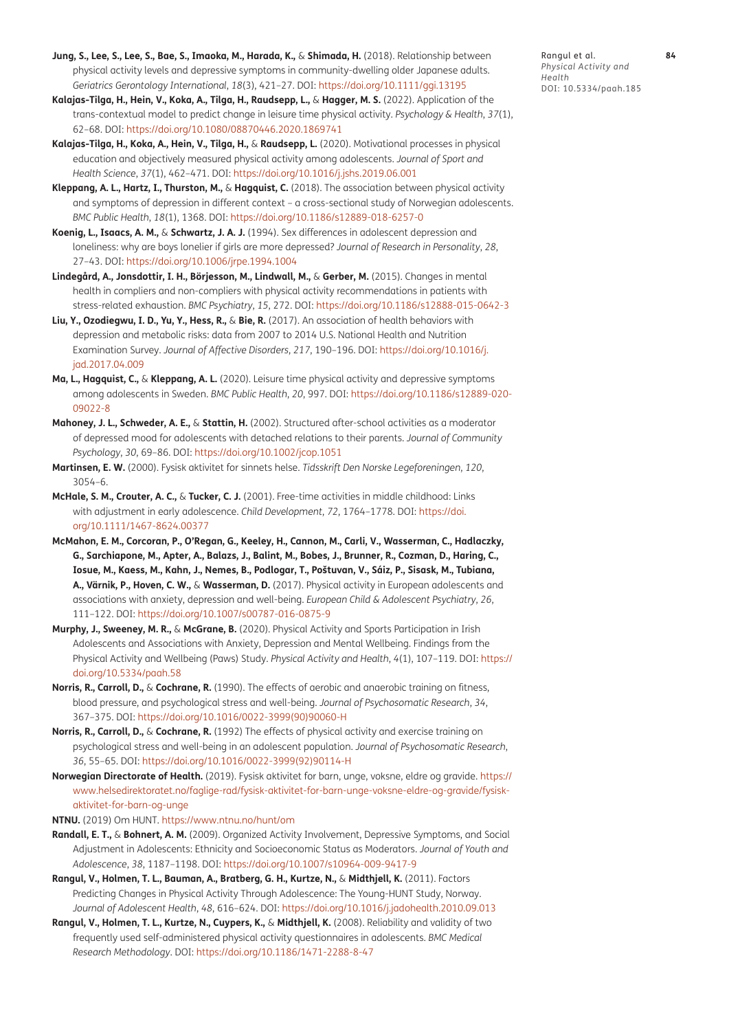- <span id="page-11-0"></span>**Jung, S., Lee, S., Lee, S., Bae, S., Imaoka, M., Harada, K.,** & **Shimada, H.** (2018). Relationship between physical activity levels and depressive symptoms in community-dwelling older Japanese adults. *Geriatrics Gerontology International*, *18*(3), 421–27. DOI:<https://doi.org/10.1111/ggi.13195>
- <span id="page-11-13"></span>**Kalajas-Tilga, H., Hein, V., Koka, A., Tilga, H., Raudsepp, L.,** & **Hagger, M. S.** (2022). Application of the trans-contextual model to predict change in leisure time physical activity. *Psychology & Health*, *37*(1), 62–68. DOI:<https://doi.org/10.1080/08870446.2020.1869741>
- <span id="page-11-14"></span>**Kalajas-Tilga, H., Koka, A., Hein, V., Tilga, H.,** & **Raudsepp, L.** (2020). Motivational processes in physical education and objectively measured physical activity among adolescents. *Journal of Sport and Health Science*, *37*(1), 462–471. DOI: <https://doi.org/10.1016/j.jshs.2019.06.001>
- <span id="page-11-4"></span>**Kleppang, A. L., Hartz, I., Thurston, M.,** & **Hagquist, C.** (2018). The association between physical activity and symptoms of depression in different context – a cross-sectional study of Norwegian adolescents. *BMC Public Health*, *18*(1), 1368. DOI:<https://doi.org/10.1186/s12889-018-6257-0>
- <span id="page-11-15"></span>**Koenig, L., Isaacs, A. M.,** & **Schwartz, J. A. J.** (1994). Sex differences in adolescent depression and loneliness: why are boys lonelier if girls are more depressed? *Journal of Research in Personality*, *28*, 27–43. DOI:<https://doi.org/10.1006/jrpe.1994.1004>
- **Lindegård, A., Jonsdottir, I. H., Börjesson, M., Lindwall, M.,** & **Gerber, M.** (2015). Changes in mental health in compliers and non-compliers with physical activity recommendations in patients with stress-related exhaustion. *BMC Psychiatry*, *15*, 272. DOI:<https://doi.org/10.1186/s12888-015-0642-3>
- <span id="page-11-1"></span>**Liu, Y., Ozodiegwu, I. D., Yu, Y., Hess, R.,** & **Bie, R.** (2017). An association of health behaviors with depression and metabolic risks: data from 2007 to 2014 U.S. National Health and Nutrition Examination Survey. *Journal of Affective Disorders*, *217*, 190–196. DOI: [https://doi.org/10.1016/j.](https://doi.org/10.1016/j.jad.2017.04.009) [jad.2017.04.009](https://doi.org/10.1016/j.jad.2017.04.009)
- <span id="page-11-11"></span>**Ma, L., Hagquist, C.,** & **Kleppang, A. L.** (2020). Leisure time physical activity and depressive symptoms among adolescents in Sweden. *BMC Public Health*, *20*, 997. DOI: [https://doi.org/10.1186/s12889-020-](https://doi.org/10.1186/s12889-020-09022-8) [09022-8](https://doi.org/10.1186/s12889-020-09022-8)
- <span id="page-11-8"></span>**Mahoney, J. L., Schweder, A. E.,** & **Stattin, H.** (2002). Structured after-school activities as a moderator of depressed mood for adolescents with detached relations to their parents. *Journal of Community Psychology*, *30*, 69–86. DOI:<https://doi.org/10.1002/jcop.1051>
- **Martinsen, E. W.** (2000). Fysisk aktivitet for sinnets helse. *Tidsskrift Den Norske Legeforeningen*, *120*, 3054–6.
- <span id="page-11-12"></span>**McHale, S. M., Crouter, A. C.,** & **Tucker, C. J.** (2001). Free-time activities in middle childhood: Links with adjustment in early adolescence. *Child Development*, *72*, 1764–1778. DOI: [https://doi.](https://doi.org/10.1111/1467-8624.00377) [org/10.1111/1467-8624.00377](https://doi.org/10.1111/1467-8624.00377)
- **McMahon, E. M., Corcoran, P., O'Regan, G., Keeley, H., Cannon, M., Carli, V., Wasserman, C., Hadlaczky, G., Sarchiapone, M., Apter, A., Balazs, J., Balint, M., Bobes, J., Brunner, R., Cozman, D., Haring, C., Iosue, M., Kaess, M., Kahn, J., Nemes, B., Podlogar, T., Poštuvan, V., Sáiz, P., Sisask, M., Tubiana, A., Värnik, P., Hoven, C. W.,** & **Wasserman, D.** (2017). Physical activity in European adolescents and associations with anxiety, depression and well-being. *European Child & Adolescent Psychiatry*, *26*, 111–122. DOI: <https://doi.org/10.1007/s00787-016-0875-9>
- <span id="page-11-2"></span>**Murphy, J., Sweeney, M. R.,** & **McGrane, B.** (2020). Physical Activity and Sports Participation in Irish Adolescents and Associations with Anxiety, Depression and Mental Wellbeing. Findings from the Physical Activity and Wellbeing (Paws) Study. *Physical Activity and Health*, *4*(1), 107–119. DOI: [https://](https://doi.org/10.5334/paah.58) [doi.org/10.5334/paah.58](https://doi.org/10.5334/paah.58)
- <span id="page-11-10"></span>**Norris, R., Carroll, D.,** & **Cochrane, R.** (1990). The effects of aerobic and anaerobic training on fitness, blood pressure, and psychological stress and well-being. *Journal of Psychosomatic Research*, *34*, 367–375. DOI: [https://doi.org/10.1016/0022-3999\(90\)90060-H](https://doi.org/10.1016/0022-3999(90)90060-H)
- <span id="page-11-9"></span>**Norris, R., Carroll, D.,** & **Cochrane, R.** (1992) The effects of physical activity and exercise training on psychological stress and well-being in an adolescent population. *Journal of Psychosomatic Research*, *36*, 55–65. DOI: [https://doi.org/10.1016/0022-3999\(92\)90114-H](https://doi.org/10.1016/0022-3999(92)90114-H)
- <span id="page-11-7"></span>**Norwegian Directorate of Health.** (2019). Fysisk aktivitet for barn, unge, voksne, eldre og gravide. [https://](https://www.helsedirektoratet.no/faglige-rad/fysisk-aktivitet-for-barn-unge-voksne-eldre-og-gravide/fysisk-aktivitet-for-barn-og-unge) [www.helsedirektoratet.no/faglige-rad/fysisk-aktivitet-for-barn-unge-voksne-eldre-og-gravide/fysisk](https://www.helsedirektoratet.no/faglige-rad/fysisk-aktivitet-for-barn-unge-voksne-eldre-og-gravide/fysisk-aktivitet-for-barn-og-unge)[aktivitet-for-barn-og-unge](https://www.helsedirektoratet.no/faglige-rad/fysisk-aktivitet-for-barn-unge-voksne-eldre-og-gravide/fysisk-aktivitet-for-barn-og-unge)
- <span id="page-11-5"></span>**NTNU.** (2019) Om HUNT.<https://www.ntnu.no/hunt/om>
- <span id="page-11-3"></span>**Randall, E. T.,** & **Bohnert, A. M.** (2009). Organized Activity Involvement, Depressive Symptoms, and Social Adjustment in Adolescents: Ethnicity and Socioeconomic Status as Moderators. *Journal of Youth and Adolescence*, *38*, 1187–1198. DOI: <https://doi.org/10.1007/s10964-009-9417-9>
- <span id="page-11-6"></span>**Rangul, V., Holmen, T. L., Bauman, A., Bratberg, G. H., Kurtze, N.,** & **Midthjell, K.** (2011). Factors Predicting Changes in Physical Activity Through Adolescence: The Young-HUNT Study, Norway. *Journal of Adolescent Health*, *48*, 616–624. DOI:<https://doi.org/10.1016/j.jadohealth.2010.09.013>
- **Rangul, V., Holmen, T. L., Kurtze, N., Cuypers, K.,** & **Midthjell, K.** (2008). Reliability and validity of two frequently used self-administered physical activity questionnaires in adolescents. *BMC Medical Research Methodology*. DOI:<https://doi.org/10.1186/1471-2288-8-47>

Rangul et al. **84** *Physical Activity and Health* DOI: 10.5334/paah.185